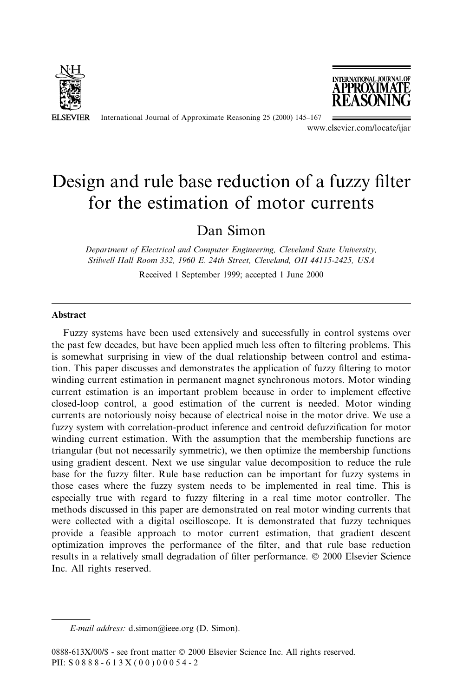

International Journal of Approximate Reasoning 25 (2000) 145-167



www.elsevier.com/locate/ijar

# Design and rule base reduction of a fuzzy filter for the estimation of motor currents

## Dan Simon

Department of Electrical and Computer Engineering, Cleveland State University, Stilwell Hall Room 332, 1960 E. 24th Street, Cleveland, OH 44115-2425, USA

Received 1 September 1999; accepted 1 June 2000

#### Abstract

Fuzzy systems have been used extensively and successfully in control systems over the past few decades, but have been applied much less often to filtering problems. This is somewhat surprising in view of the dual relationship between control and estimation. This paper discusses and demonstrates the application of fuzzy filtering to motor winding current estimation in permanent magnet synchronous motors. Motor winding current estimation is an important problem because in order to implement effective closed-loop control, a good estimation of the current is needed. Motor winding currents are notoriously noisy because of electrical noise in the motor drive. We use a fuzzy system with correlation-product inference and centroid defuzzification for motor winding current estimation. With the assumption that the membership functions are triangular (but not necessarily symmetric), we then optimize the membership functions using gradient descent. Next we use singular value decomposition to reduce the rule base for the fuzzy filter. Rule base reduction can be important for fuzzy systems in those cases where the fuzzy system needs to be implemented in real time. This is especially true with regard to fuzzy filtering in a real time motor controller. The methods discussed in this paper are demonstrated on real motor winding currents that were collected with a digital oscilloscope. It is demonstrated that fuzzy techniques provide a feasible approach to motor current estimation, that gradient descent optimization improves the performance of the ®lter, and that rule base reduction results in a relatively small degradation of filter performance.  $\odot$  2000 Elsevier Science Inc. All rights reserved.

E-mail address: d.simon@ieee.org (D. Simon).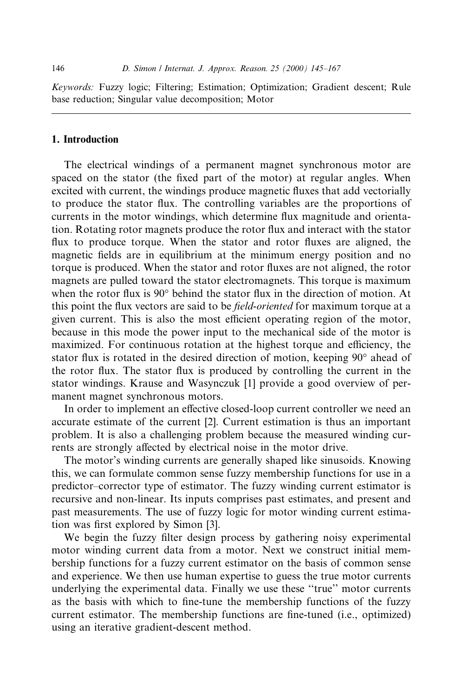Keywords: Fuzzy logic; Filtering; Estimation; Optimization; Gradient descent; Rule base reduction; Singular value decomposition; Motor

#### 1. Introduction

The electrical windings of a permanent magnet synchronous motor are spaced on the stator (the fixed part of the motor) at regular angles. When excited with current, the windings produce magnetic fluxes that add vectorially to produce the stator flux. The controlling variables are the proportions of currents in the motor windings, which determine flux magnitude and orientation. Rotating rotor magnets produce the rotor flux and interact with the stator flux to produce torque. When the stator and rotor fluxes are aligned, the magnetic fields are in equilibrium at the minimum energy position and no torque is produced. When the stator and rotor fluxes are not aligned, the rotor magnets are pulled toward the stator electromagnets. This torque is maximum when the rotor flux is  $90^\circ$  behind the stator flux in the direction of motion. At this point the flux vectors are said to be *field-oriented* for maximum torque at a given current. This is also the most efficient operating region of the motor, because in this mode the power input to the mechanical side of the motor is maximized. For continuous rotation at the highest torque and efficiency, the stator flux is rotated in the desired direction of motion, keeping 90° ahead of the rotor flux. The stator flux is produced by controlling the current in the stator windings. Krause and Wasynczuk [1] provide a good overview of permanent magnet synchronous motors.

In order to implement an effective closed-loop current controller we need an accurate estimate of the current [2]. Current estimation is thus an important problem. It is also a challenging problem because the measured winding currents are strongly affected by electrical noise in the motor drive.

The motor's winding currents are generally shaped like sinusoids. Knowing this, we can formulate common sense fuzzy membership functions for use in a predictor±corrector type of estimator. The fuzzy winding current estimator is recursive and non-linear. Its inputs comprises past estimates, and present and past measurements. The use of fuzzy logic for motor winding current estimation was first explored by Simon [3].

We begin the fuzzy filter design process by gathering noisy experimental motor winding current data from a motor. Next we construct initial membership functions for a fuzzy current estimator on the basis of common sense and experience. We then use human expertise to guess the true motor currents underlying the experimental data. Finally we use these "true" motor currents as the basis with which to fine-tune the membership functions of the fuzzy current estimator. The membership functions are fine-tuned (i.e., optimized) using an iterative gradient-descent method.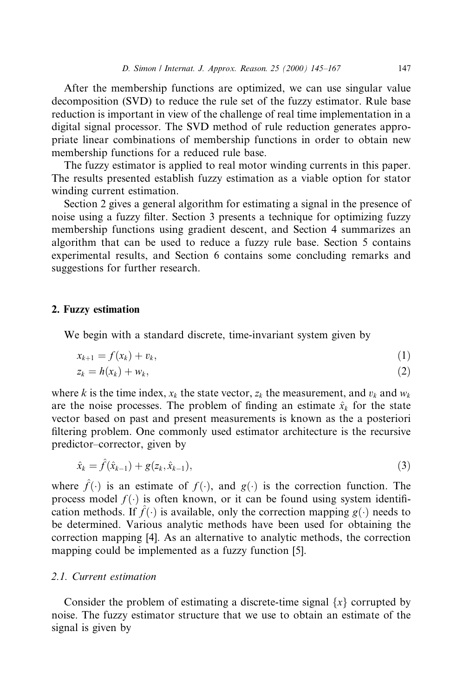After the membership functions are optimized, we can use singular value decomposition (SVD) to reduce the rule set of the fuzzy estimator. Rule base reduction is important in view of the challenge of real time implementation in a digital signal processor. The SVD method of rule reduction generates appropriate linear combinations of membership functions in order to obtain new membership functions for a reduced rule base.

The fuzzy estimator is applied to real motor winding currents in this paper. The results presented establish fuzzy estimation as a viable option for stator winding current estimation.

Section 2 gives a general algorithm for estimating a signal in the presence of noise using a fuzzy filter. Section 3 presents a technique for optimizing fuzzy membership functions using gradient descent, and Section 4 summarizes an algorithm that can be used to reduce a fuzzy rule base. Section 5 contains experimental results, and Section 6 contains some concluding remarks and suggestions for further research.

#### 2. Fuzzy estimation

We begin with a standard discrete, time-invariant system given by

$$
x_{k+1} = f(x_k) + v_k, \tag{1}
$$

$$
z_k = h(x_k) + w_k, \tag{2}
$$

where k is the time index,  $x_k$  the state vector,  $z_k$  the measurement, and  $v_k$  and  $w_k$ are the noise processes. The problem of finding an estimate  $\hat{x}_k$  for the state vector based on past and present measurements is known as the a posteriori filtering problem. One commonly used estimator architecture is the recursive predictor-corrector, given by

$$
\hat{x}_k = \hat{f}(\hat{x}_{k-1}) + g(z_k, \hat{x}_{k-1}),
$$
\n(3)

where  $\hat{f}(\cdot)$  is an estimate of  $f(\cdot)$ , and  $g(\cdot)$  is the correction function. The process model  $f(\cdot)$  is often known, or it can be found using system identification methods. If  $\hat{f}(\cdot)$  is available, only the correction mapping  $g(\cdot)$  needs to be determined. Various analytic methods have been used for obtaining the correction mapping [4]. As an alternative to analytic methods, the correction mapping could be implemented as a fuzzy function [5].

#### 2.1. Current estimation

Consider the problem of estimating a discrete-time signal  $\{x\}$  corrupted by noise. The fuzzy estimator structure that we use to obtain an estimate of the signal is given by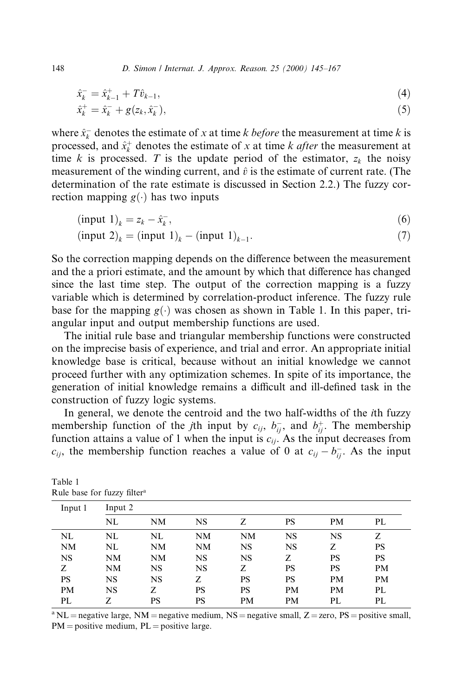148 D. Simon / Internat. J. Approx. Reason. 25 (2000) 145-167

$$
\hat{x}_k^- = \hat{x}_{k-1}^+ + T\hat{v}_{k-1},\tag{4}
$$

$$
\hat{x}_k^+ = \hat{x}_k^- + g(z_k, \hat{x}_k^-),\tag{5}
$$

where  $\hat{x}_k^-$  denotes the estimate of x at time k before the measurement at time k is processed, and  $\hat{x}_k^+$  denotes the estimate of x at time k *after* the measurement at time k is processed. T is the update period of the estimator,  $z_k$  the noisy measurement of the winding current, and  $\hat{v}$  is the estimate of current rate. (The determination of the rate estimate is discussed in Section 2.2.) The fuzzy correction mapping  $g(\cdot)$  has two inputs

$$
(\text{input } 1)_k = z_k - \hat{x}_k \,,\tag{6}
$$

$$
(\text{input } 2)_k = (\text{input } 1)_k - (\text{input } 1)_{k-1}.\tag{7}
$$

So the correction mapping depends on the difference between the measurement and the a priori estimate, and the amount by which that difference has changed since the last time step. The output of the correction mapping is a fuzzy variable which is determined by correlation-product inference. The fuzzy rule base for the mapping  $g(\cdot)$  was chosen as shown in Table 1. In this paper, triangular input and output membership functions are used.

The initial rule base and triangular membership functions were constructed on the imprecise basis of experience, and trial and error. An appropriate initial knowledge base is critical, because without an initial knowledge we cannot proceed further with any optimization schemes. In spite of its importance, the generation of initial knowledge remains a difficult and ill-defined task in the construction of fuzzy logic systems.

In general, we denote the centroid and the two half-widths of the ith fuzzy membership function of the *j*th input by  $c_{ij}$ ,  $b_{ij}^-$ , and  $b_{ij}^+$ . The membership function attains a value of 1 when the input is  $c_{ij}$ . As the input decreases from  $c_{ij}$ , the membership function reaches a value of 0 at  $c_{ij} - b_{ij}$ . As the input

| Input 1   | Input 2 |    |           |           |    |    |           |
|-----------|---------|----|-----------|-----------|----|----|-----------|
|           | NL      | NM | <b>NS</b> | Z         | PS | PM | PL        |
| NL        | NL      | NL | NM        | NM        | NS | NS | Ζ         |
| NM        | NL      | NM | NM        | NS        | NS | Z  | PS        |
| <b>NS</b> | NΜ      | NΜ | <b>NS</b> | <b>NS</b> | Z  | PS | <b>PS</b> |
| Z         | NM      | NS | <b>NS</b> | Ζ         | PS | PS | <b>PM</b> |
| PS        | NS      | NS | Z         | PS        | PS | PM | <b>PM</b> |
| <b>PM</b> | NS      | Z  | PS        | PS        | PM | PM | PL        |
| PL        | Z       | PS | PS        | <b>PM</b> | PM | PL | PL        |

Table 1 Rule base for fuzzy filter<sup>a</sup>

<sup>a</sup> NL = negative large, NM = negative medium, NS = negative small,  $Z =$  zero, PS = positive small,  $PM =$  positive medium,  $PL =$  positive large.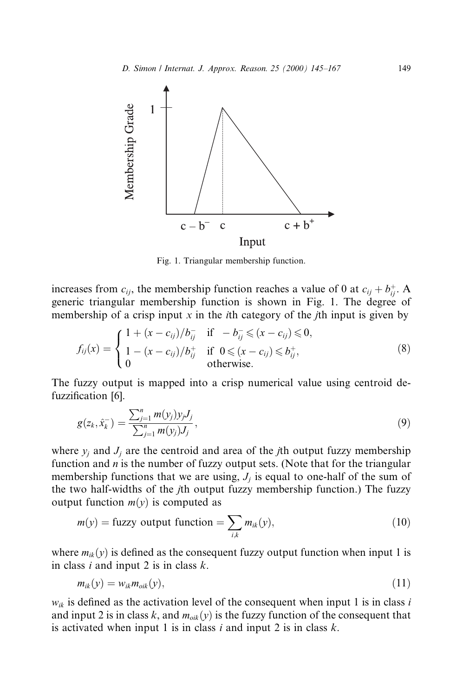

Fig. 1. Triangular membership function.

increases from  $c_{ij}$ , the membership function reaches a value of 0 at  $c_{ij} + b_{ij}^+$ . A generic triangular membership function is shown in Fig. 1. The degree of membership of a crisp input x in the *i*th category of the *j*th input is given by

$$
f_{ij}(x) = \begin{cases} 1 + (x - c_{ij})/b_{ij}^- & \text{if } -b_{ij}^- \le (x - c_{ij}) \le 0, \\ 1 - (x - c_{ij})/b_{ij}^+ & \text{if } 0 \le (x - c_{ij}) \le b_{ij}^+, \\ 0 & \text{otherwise.} \end{cases}
$$
(8)

The fuzzy output is mapped into a crisp numerical value using centroid defuzzification [6].

$$
g(z_k, \hat{x}_k^-) = \frac{\sum_{j=1}^n m(y_j) y_j J_j}{\sum_{j=1}^n m(y_j) J_j},
$$
\n(9)

where  $y_i$  and  $J_i$  are the centroid and area of the *j*th output fuzzy membership function and  $n$  is the number of fuzzy output sets. (Note that for the triangular membership functions that we are using,  $J_i$  is equal to one-half of the sum of the two half-widths of the jth output fuzzy membership function.) The fuzzy output function  $m(y)$  is computed as

$$
m(y) = \text{fuzzy output function} = \sum_{i,k} m_{ik}(y),\tag{10}
$$

where  $m_{ik}(y)$  is defined as the consequent fuzzy output function when input 1 is in class i and input 2 is in class  $k$ .

$$
m_{ik}(y) = w_{ik} m_{oik}(y), \qquad (11)
$$

 $w_{ik}$  is defined as the activation level of the consequent when input 1 is in class i and input 2 is in class k, and  $m_{oik}(y)$  is the fuzzy function of the consequent that is activated when input 1 is in class  $i$  and input 2 is in class  $k$ .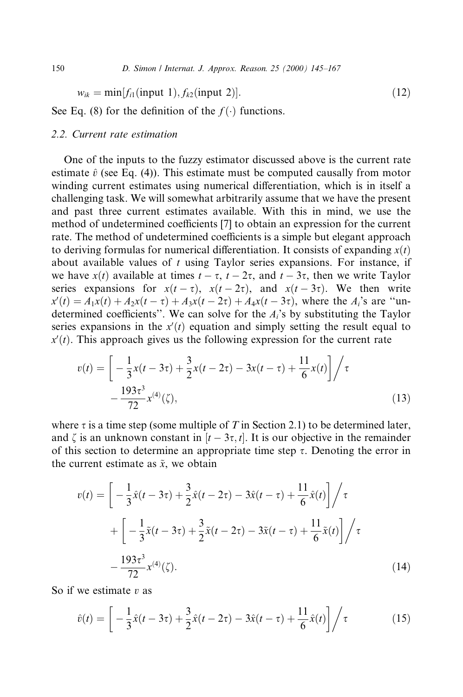$$
w_{ik} = \min[f_{i1}(\text{input 1}), f_{k2}(\text{input 2})].\tag{12}
$$

See Eq. (8) for the definition of the  $f(\cdot)$  functions.

#### 2.2. Current rate estimation

One of the inputs to the fuzzy estimator discussed above is the current rate estimate  $\hat{v}$  (see Eq. (4)). This estimate must be computed causally from motor winding current estimates using numerical differentiation, which is in itself a challenging task. We will somewhat arbitrarily assume that we have the present and past three current estimates available. With this in mind, we use the method of undetermined coefficients [7] to obtain an expression for the current rate. The method of undetermined coefficients is a simple but elegant approach to deriving formulas for numerical differentiation. It consists of expanding  $x(t)$ about available values of  $t$  using Taylor series expansions. For instance, if we have  $x(t)$  available at times  $t - \tau$ ,  $t - 2\tau$ , and  $t - 3\tau$ , then we write Taylor series expansions for  $x(t - \tau)$ ,  $x(t - 2\tau)$ , and  $x(t - 3\tau)$ . We then write  $x'(t) = A_1x(t) + A_2x(t - \tau) + A_3x(t - 2\tau) + A_4x(t - 3\tau)$ , where the  $A_i$ 's are "undetermined coefficients''. We can solve for the  $A_i$ 's by substituting the Taylor series expansions in the  $x'(t)$  equation and simply setting the result equal to  $x'(t)$ . This approach gives us the following expression for the current rate

$$
v(t) = \left[ -\frac{1}{3}x(t - 3\tau) + \frac{3}{2}x(t - 2\tau) - 3x(t - \tau) + \frac{11}{6}x(t) \right] / \tau
$$
  
 
$$
-\frac{193\tau^3}{72}x^{(4)}(\zeta), \tag{13}
$$

where  $\tau$  is a time step (some multiple of T in Section 2.1) to be determined later, and  $\zeta$  is an unknown constant in  $[t - 3\tau, t]$ . It is our objective in the remainder of this section to determine an appropriate time step  $\tau$ . Denoting the error in the current estimate as  $\tilde{x}$ , we obtain

$$
v(t) = \left[ -\frac{1}{3}\hat{x}(t - 3\tau) + \frac{3}{2}\hat{x}(t - 2\tau) - 3\hat{x}(t - \tau) + \frac{11}{6}\hat{x}(t) \right] / \tau
$$
  
+ 
$$
\left[ -\frac{1}{3}\tilde{x}(t - 3\tau) + \frac{3}{2}\tilde{x}(t - 2\tau) - 3\tilde{x}(t - \tau) + \frac{11}{6}\tilde{x}(t) \right] / \tau
$$
  
- 
$$
\frac{193\tau^3}{72}x^{(4)}(\zeta).
$$
 (14)

So if we estimate  $v$  as

$$
\hat{v}(t) = \left[ -\frac{1}{3}\hat{x}(t - 3\tau) + \frac{3}{2}\hat{x}(t - 2\tau) - 3\hat{x}(t - \tau) + \frac{11}{6}\hat{x}(t) \right] / \tau \tag{15}
$$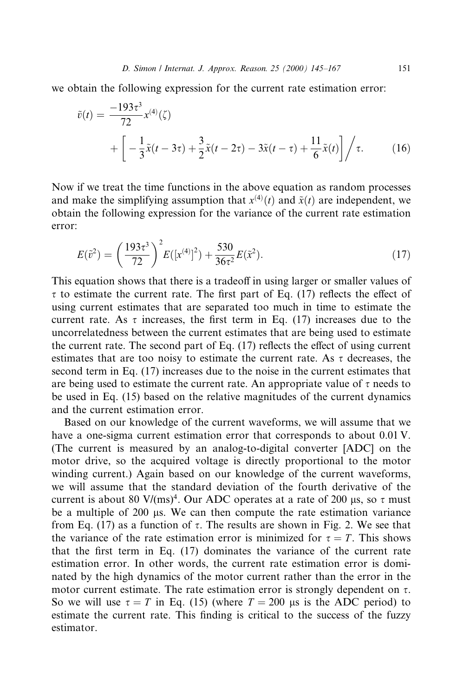we obtain the following expression for the current rate estimation error:

$$
\tilde{v}(t) = \frac{-193\tau^3}{72} x^{(4)}(\zeta)
$$
  
+ 
$$
\left[ -\frac{1}{3}\tilde{x}(t - 3\tau) + \frac{3}{2}\tilde{x}(t - 2\tau) - 3\tilde{x}(t - \tau) + \frac{11}{6}\tilde{x}(t) \right] / \tau.
$$
 (16)

Now if we treat the time functions in the above equation as random processes and make the simplifying assumption that  $x^{(4)}(t)$  and  $\tilde{x}(t)$  are independent, we obtain the following expression for the variance of the current rate estimation error:

$$
E(\tilde{v}^2) = \left(\frac{193\tau^3}{72}\right)^2 E([x^{(4)}]^2) + \frac{530}{36\tau^2} E(\tilde{x}^2).
$$
 (17)

This equation shows that there is a tradeoff in using larger or smaller values of  $\tau$  to estimate the current rate. The first part of Eq. (17) reflects the effect of using current estimates that are separated too much in time to estimate the current rate. As  $\tau$  increases, the first term in Eq. (17) increases due to the uncorrelatedness between the current estimates that are being used to estimate the current rate. The second part of Eq.  $(17)$  reflects the effect of using current estimates that are too noisy to estimate the current rate. As  $\tau$  decreases, the second term in Eq. (17) increases due to the noise in the current estimates that are being used to estimate the current rate. An appropriate value of  $\tau$  needs to be used in Eq. (15) based on the relative magnitudes of the current dynamics and the current estimation error.

Based on our knowledge of the current waveforms, we will assume that we have a one-sigma current estimation error that corresponds to about 0.01 V. (The current is measured by an analog-to-digital converter [ADC] on the motor drive, so the acquired voltage is directly proportional to the motor winding current.) Again based on our knowledge of the current waveforms, we will assume that the standard deviation of the fourth derivative of the current is about 80 V/(ms)<sup>4</sup>. Our ADC operates at a rate of 200 µs, so  $\tau$  must be a multiple of  $200 \mu s$ . We can then compute the rate estimation variance from Eq. (17) as a function of  $\tau$ . The results are shown in Fig. 2. We see that the variance of the rate estimation error is minimized for  $\tau = T$ . This shows that the first term in Eq.  $(17)$  dominates the variance of the current rate estimation error. In other words, the current rate estimation error is dominated by the high dynamics of the motor current rather than the error in the motor current estimate. The rate estimation error is strongly dependent on  $\tau$ . So we will use  $\tau = T$  in Eq. (15) (where  $T = 200$  µs is the ADC period) to estimate the current rate. This finding is critical to the success of the fuzzy estimator.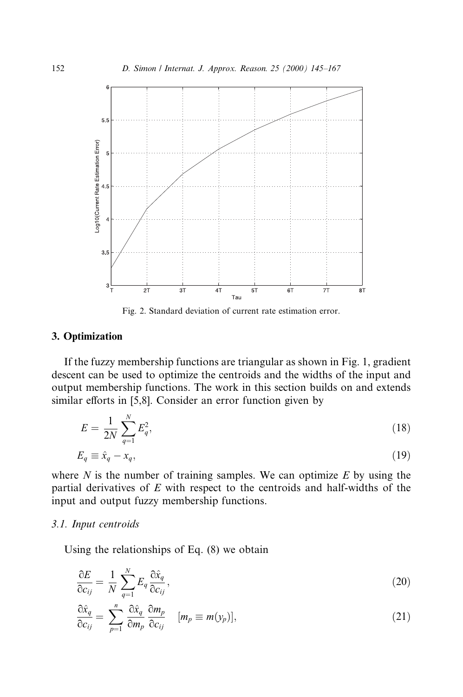

Fig. 2. Standard deviation of current rate estimation error.

#### 3. Optimization

If the fuzzy membership functions are triangular as shown in Fig. 1, gradient descent can be used to optimize the centroids and the widths of the input and output membership functions. The work in this section builds on and extends similar efforts in  $[5,8]$ . Consider an error function given by

$$
E = \frac{1}{2N} \sum_{q=1}^{N} E_q^2,\tag{18}
$$

$$
E_q \equiv \hat{x}_q - x_q,\tag{19}
$$

where  $N$  is the number of training samples. We can optimize  $E$  by using the partial derivatives of  $E$  with respect to the centroids and half-widths of the input and output fuzzy membership functions.

#### 3.1. Input centroids

Using the relationships of Eq. (8) we obtain

$$
\frac{\partial E}{\partial c_{ij}} = \frac{1}{N} \sum_{q=1}^{N} E_q \frac{\partial \hat{x}_q}{\partial c_{ij}},\tag{20}
$$

$$
\frac{\partial \hat{x}_q}{\partial c_{ij}} = \sum_{p=1}^n \frac{\partial \hat{x}_q}{\partial m_p} \frac{\partial m_p}{\partial c_{ij}} \quad [m_p \equiv m(y_p)], \tag{21}
$$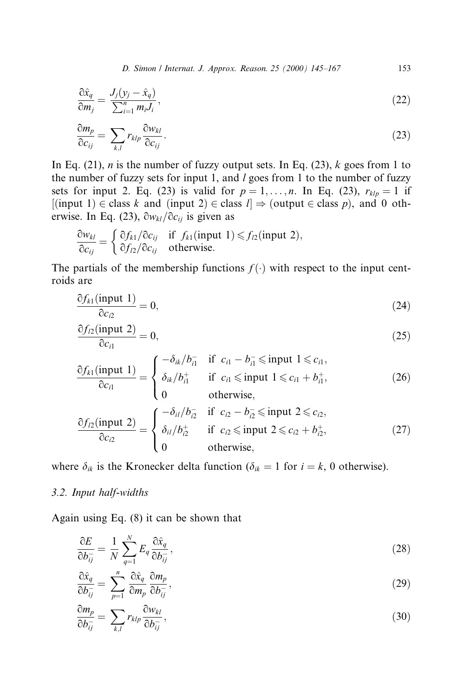D. Simon / Internat. J. Approx. Reason. 25 (2000) 145-167 153

$$
\frac{\partial \hat{x}_q}{\partial m_j} = \frac{J_j(y_j - \hat{x}_q)}{\sum_{i=1}^n m_i J_i},\tag{22}
$$

$$
\frac{\partial m_p}{\partial c_{ij}} = \sum_{k,l} r_{klp} \frac{\partial w_{kl}}{\partial c_{ij}}.
$$
\n(23)

In Eq. (21), *n* is the number of fuzzy output sets. In Eq. (23),  $k$  goes from 1 to the number of fuzzy sets for input 1, and  $l$  goes from 1 to the number of fuzzy sets for input 2. Eq. (23) is valid for  $p = 1, \ldots, n$ . In Eq. (23),  $r_{klp} = 1$  if  $i$ input 1)  $\in$  class k and (input 2)  $\in$  class  $l \Rightarrow$  (output  $\in$  class p), and 0 otherwise. In Eq. (23),  $\frac{\partial w_{kl}}{\partial c_{ij}}$  is given as

$$
\frac{\partial w_{kl}}{\partial c_{ij}} = \begin{cases} \frac{\partial f_{k1}}{\partial c_{ij}} & \text{if } f_{k1}(\text{input 1}) \leq f_{l2}(\text{input 2}), \\ \frac{\partial f_{l2}}{\partial c_{ij}} & \text{otherwise.} \end{cases}
$$

The partials of the membership functions  $f(\cdot)$  with respect to the input centroids are

$$
\frac{\partial f_{k1}(\text{input 1})}{\partial c_{l2}} = 0,\tag{24}
$$

$$
\frac{\partial f_{l2}(\text{input 2})}{\partial c_{l1}} = 0,\tag{25}
$$

$$
\frac{\partial f_{k1}(\text{input 1})}{\partial c_{i1}} = \begin{cases}\n-\delta_{ik}/b_{i1}^- & \text{if } c_{i1} - b_{i1}^- \leq \text{input 1} \leq c_{i1}, \\
\delta_{ik}/b_{i1}^+ & \text{if } c_{i1} \leq \text{input 1} \leq c_{i1} + b_{i1}^+, \\
0 & \text{otherwise,} \n\end{cases}
$$
\n(26)

$$
\frac{\partial f_{l2}(\text{input 2})}{\partial c_{l2}} = \begin{cases}\n-\delta_{il}/b_{l2}^- & \text{if } c_{l2} - b_{l2}^- \leq \text{input 2} \leq c_{l2}, \\
\delta_{il}/b_{l2}^+ & \text{if } c_{l2} \leq \text{input 2} \leq c_{l2} + b_{l2}^+, \\
0 & \text{otherwise,} \n\end{cases}
$$
\n(27)

where  $\delta_{ik}$  is the Kronecker delta function ( $\delta_{ik} = 1$  for  $i = k$ , 0 otherwise).

#### 3.2. Input half-widths

Again using Eq. (8) it can be shown that

$$
\frac{\partial E}{\partial b_{ij}^-} = \frac{1}{N} \sum_{q=1}^N E_q \frac{\partial \hat{x}_q}{\partial b_{ij}^-},\tag{28}
$$

$$
\frac{\partial \hat{x}_q}{\partial b_{ij}} = \sum_{p=1}^n \frac{\partial \hat{x}_q}{\partial m_p} \frac{\partial m_p}{\partial b_{ij}},\tag{29}
$$

$$
\frac{\partial m_p}{\partial b_{ij}^-} = \sum_{k,l} r_{klp} \frac{\partial w_{kl}}{\partial b_{ij}^-},\tag{30}
$$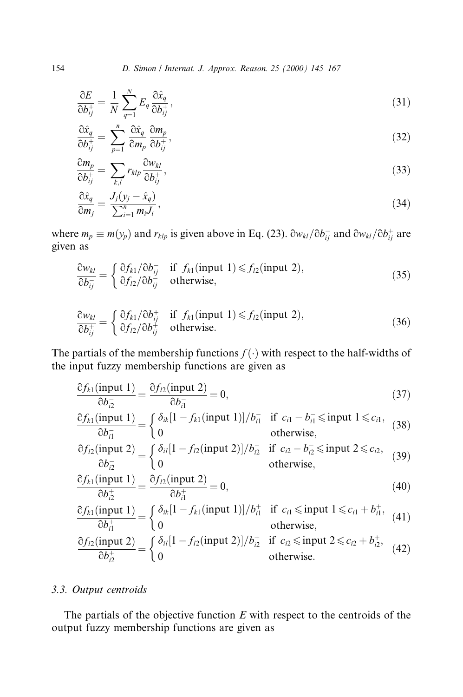$$
\frac{\partial E}{\partial b_{ij}^+} = \frac{1}{N} \sum_{q=1}^N E_q \frac{\partial \hat{x}_q}{\partial b_{ij}^+},\tag{31}
$$

$$
\frac{\partial \hat{x}_q}{\partial b_{ij}^+} = \sum_{p=1}^n \frac{\partial \hat{x}_q}{\partial m_p} \frac{\partial m_p}{\partial b_{ij}^+},\tag{32}
$$

$$
\frac{\partial m_p}{\partial b_{ij}^+} = \sum_{k,l} r_{klp} \frac{\partial w_{kl}}{\partial b_{ij}^+},\tag{33}
$$

$$
\frac{\partial \hat{x}_q}{\partial m_j} = \frac{J_j(y_j - \hat{x}_q)}{\sum_{i=1}^n m_i J_i},\tag{34}
$$

where  $m_p \equiv m(y_p)$  and  $r_{klp}$  is given above in Eq. (23).  $\frac{\partial w_{kl}}{\partial b_{ij}}$  and  $\frac{\partial w_{kl}}{\partial b_{ij}}$  are given as

$$
\frac{\partial w_{kl}}{\partial b_{ij}} = \begin{cases} \frac{\partial f_{k1}}{\partial b_{ij}} & \text{if } f_{k1}(\text{input 1}) \le f_{l2}(\text{input 2}), \\ \frac{\partial f_{l2}}{\partial b_{ij}} & \text{otherwise}, \end{cases}
$$
(35)

$$
\frac{\partial w_{kl}}{\partial b_{ij}^+} = \begin{cases} \frac{\partial f_{k1}}{\partial b_{ij}^+} & \text{if } f_{k1}(\text{input 1}) \le f_{l2}(\text{input 2}),\\ \frac{\partial f_{l2}}{\partial b_{ij}^+} & \text{otherwise.} \end{cases}
$$
(36)

The partials of the membership functions  $f(\cdot)$  with respect to the half-widths of the input fuzzy membership functions are given as

$$
\frac{\partial f_{k1}(\text{input 1})}{\partial b_{i2}^-} = \frac{\partial f_{l2}(\text{input 2})}{\partial b_{i1}^-} = 0,
$$
\n(37)

$$
\frac{\partial f_{k1}(\text{input 1})}{\partial b_{i1}^-} = \begin{cases} \delta_{ik} [1 - f_{k1}(\text{input 1})] / b_{i1}^- & \text{if } c_{i1} - b_{i1}^- \le \text{input 1} \le c_{i1}, \\ 0 & \text{otherwise}, \end{cases}
$$
(38)

$$
\frac{\partial f_{12}(\text{input 2})}{\partial b_{12}^-} = \begin{cases} \delta_{ii} [1 - f_{12}(\text{input 2})] / b_{12}^- & \text{if } c_{12} - b_{12}^- \le \text{input 2} \le c_{12}, \\ 0 & \text{otherwise}, \end{cases}
$$
(39)

$$
\frac{\partial f_{k1}(\text{input 1})}{\partial b_{i2}^+} = \frac{\partial f_{l2}(\text{input 2})}{\partial b_{i1}^+} = 0,\tag{40}
$$

$$
\frac{\partial f_{k1}(\text{input 1})}{\partial b_{i1}^+} = \begin{cases} \delta_{ik} [1 - f_{k1}(\text{input 1})] / b_{i1}^+ & \text{if } c_{i1} \le \text{input 1} \le c_{i1} + b_{i1}^+, \text{ (41)} \\ 0 & \text{otherwise,} \end{cases}
$$
\n
$$
\frac{\partial f_{l2}(\text{input 2})}{\partial b_{i2}^+} = \begin{cases} \delta_{il} [1 - f_{l2}(\text{input 2})] / b_{i2}^+ & \text{if } c_{i2} \le \text{input 2} \le c_{i2} + b_{i2}^+, \text{ (42)} \\ 0 & \text{otherwise.} \end{cases}
$$

### 3.3. Output centroids

The partials of the objective function  $E$  with respect to the centroids of the output fuzzy membership functions are given as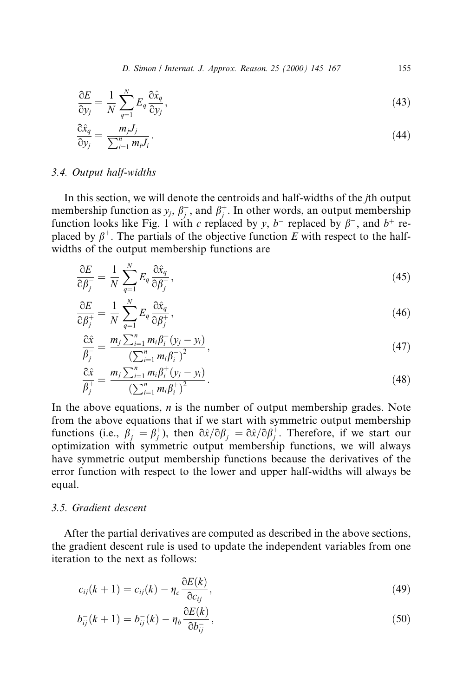D. Simon / Internat. J. Approx. Reason. 25 (2000) 145-167 155

$$
\frac{\partial E}{\partial y_j} = \frac{1}{N} \sum_{q=1}^{N} E_q \frac{\partial \hat{x}_q}{\partial y_j},\tag{43}
$$

$$
\frac{\partial \hat{x}_q}{\partial y_j} = \frac{m_j J_j}{\sum_{i=1}^n m_i J_i}.
$$
\n(44)

#### 3.4. Output half-widths

In this section, we will denote the centroids and half-widths of the jth output membership function as  $y_j$ ,  $\beta_j^-$ , and  $\beta_j^+$ . In other words, an output membership function looks like Fig. 1 with c replaced by y,  $b^-$  replaced by  $\beta^-$ , and  $b^+$  replaced by  $\beta^+$ . The partials of the objective function E with respect to the halfwidths of the output membership functions are

$$
\frac{\partial E}{\partial \beta_j^-} = \frac{1}{N} \sum_{q=1}^N E_q \frac{\partial \hat{x}_q}{\partial \beta_j^-,} \tag{45}
$$

$$
\frac{\partial E}{\partial \beta_j^+} = \frac{1}{N} \sum_{q=1}^N E_q \frac{\partial \hat{x}_q}{\partial \beta_j^+},\tag{46}
$$

$$
\frac{\partial \hat{x}}{\partial \hat{y}} = \frac{m_j \sum_{i=1}^n m_i \beta_i^-(y_j - y_i)}{\left(\sum_{i=1}^n m_i \beta_i^-\right)^2},\tag{47}
$$

$$
\frac{\partial \hat{x}}{\beta_j^+} = \frac{m_j \sum_{i=1}^n m_i \beta_i^+ (y_j - y_i)}{\left(\sum_{i=1}^n m_i \beta_i^+\right)^2}.
$$
\n(48)

In the above equations,  $n$  is the number of output membership grades. Note from the above equations that if we start with symmetric output membership functions (i.e.,  $\beta_j^- = \beta_j^+$ ), then  $\partial \hat{x}/\partial \beta_j^- = \partial \hat{x}/\partial \beta_j^+$ . Therefore, if we start our optimization with symmetric output membership functions, we will always have symmetric output membership functions because the derivatives of the error function with respect to the lower and upper half-widths will always be equal.

#### 3.5. Gradient descent

After the partial derivatives are computed as described in the above sections, the gradient descent rule is used to update the independent variables from one iteration to the next as follows:

$$
c_{ij}(k+1) = c_{ij}(k) - \eta_c \frac{\partial E(k)}{\partial c_{ij}},
$$
\n(49)

$$
b_{ij}^-(k+1) = b_{ij}^-(k) - \eta_b \frac{\partial E(k)}{\partial b_{ij}^-},
$$
\n(50)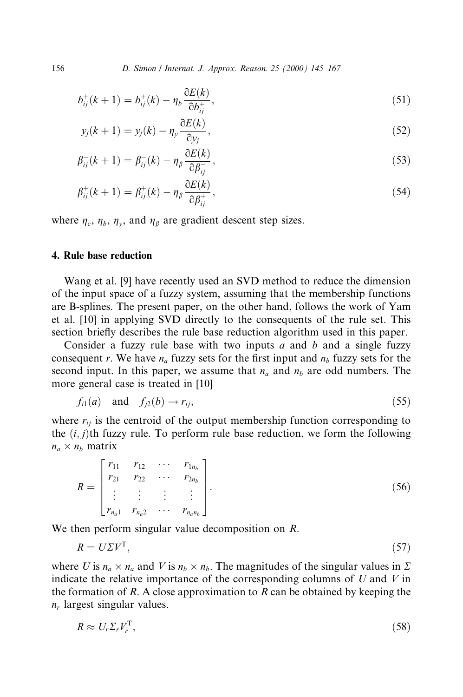156 D. Simon / Internat. J. Approx. Reason. 25 (2000) 145-167

$$
b_{ij}^{+}(k+1) = b_{ij}^{+}(k) - \eta_b \frac{\partial E(k)}{\partial b_{ij}^{+}},
$$
\n(51)

$$
y_j(k+1) = y_j(k) - \eta_y \frac{\partial E(k)}{\partial y_j},
$$
\n(52)

$$
\beta_{ij}^-(k+1) = \beta_{ij}^-(k) - \eta_\beta \frac{\partial E(k)}{\partial \beta_{ij}^-},\tag{53}
$$

$$
\beta_{ij}^+(k+1) = \beta_{ij}^+(k) - \eta_\beta \frac{\partial E(k)}{\partial \beta_{ij}^+},\tag{54}
$$

where  $\eta_c$ ,  $\eta_b$ ,  $\eta_v$ , and  $\eta_\beta$  are gradient descent step sizes.

#### 4. Rule base reduction

Wang et al. [9] have recently used an SVD method to reduce the dimension of the input space of a fuzzy system, assuming that the membership functions are B-splines. The present paper, on the other hand, follows the work of Yam et al. [10] in applying SVD directly to the consequents of the rule set. This section briefly describes the rule base reduction algorithm used in this paper.

Consider a fuzzy rule base with two inputs  $a$  and  $b$  and a single fuzzy consequent r. We have  $n_a$  fuzzy sets for the first input and  $n_b$  fuzzy sets for the second input. In this paper, we assume that  $n_a$  and  $n_b$  are odd numbers. The more general case is treated in [10]

$$
f_{i1}(a) \quad \text{and} \quad f_{j2}(b) \to r_{ij}, \tag{55}
$$

where  $r_{ii}$  is the centroid of the output membership function corresponding to the  $(i, j)$ th fuzzy rule. To perform rule base reduction, we form the following  $n_a \times n_b$  matrix

$$
R = \begin{bmatrix} r_{11} & r_{12} & \cdots & r_{1n_b} \\ r_{21} & r_{22} & \cdots & r_{2n_b} \\ \vdots & \vdots & \vdots & \vdots \\ r_{n_a 1} & r_{n_a 2} & \cdots & r_{n_a n_b} \end{bmatrix} .
$$
 (56)

We then perform singular value decomposition on R.

$$
R = U\Sigma V^{\mathrm{T}},\tag{57}
$$

where U is  $n_a \times n_a$  and V is  $n_b \times n_b$ . The magnitudes of the singular values in  $\Sigma$ indicate the relative importance of the corresponding columns of  $U$  and  $V$  in the formation of R. A close approximation to R can be obtained by keeping the  $n_r$  largest singular values.

$$
R \approx U_r \Sigma_r V_r^{\mathrm{T}},\tag{58}
$$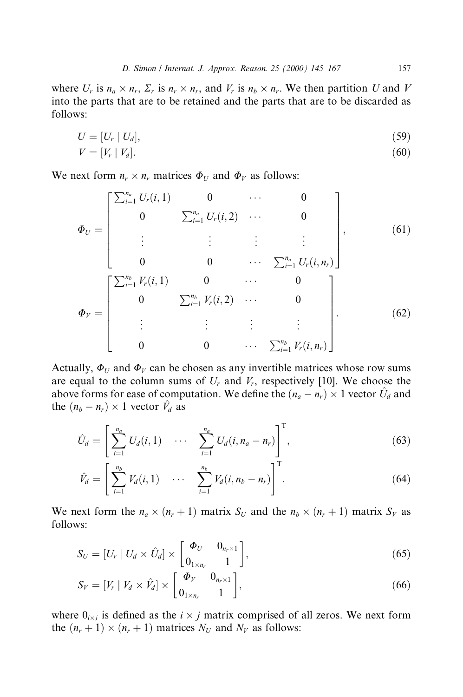where  $U_r$  is  $n_a \times n_r$ ,  $\Sigma_r$  is  $n_r \times n_r$ , and  $V_r$  is  $n_b \times n_r$ . We then partition U and V into the parts that are to be retained and the parts that are to be discarded as follows:

$$
U = [U_r \mid U_d],\tag{59}
$$

$$
V = [V_r | V_d]. \tag{60}
$$

We next form  $n_r \times n_r$  matrices  $\Phi_U$  and  $\Phi_V$  as follows:

$$
\Phi_{U} = \begin{bmatrix} \sum_{i=1}^{n_{a}} U_{r}(i,1) & 0 & \cdots & 0 \\ 0 & \sum_{i=1}^{n_{a}} U_{r}(i,2) & \cdots & 0 \\ \vdots & \vdots & \vdots & \vdots \\ 0 & 0 & \cdots & \sum_{i=1}^{n_{a}} U_{r}(i,n_{r}) \end{bmatrix}, \qquad (61)
$$

$$
\Phi_{V} = \begin{bmatrix} \sum_{i=1}^{n_{b}} V_{r}(i,1) & 0 & \cdots & 0 \\ 0 & \sum_{i=1}^{n_{b}} V_{r}(i,2) & \cdots & 0 \\ \vdots & \vdots & \vdots & \vdots \\ 0 & 0 & \cdots & \sum_{i=1}^{n_{b}} V_{r}(i,n_{r}) \end{bmatrix} . \qquad (62)
$$

Actually,  $\Phi_U$  and  $\Phi_V$  can be chosen as any invertible matrices whose row sums are equal to the column sums of  $U_r$  and  $V_r$ , respectively [10]. We choose the above forms for ease of computation. We define the  $(n_a - n_r) \times 1$  vector  $\hat{U}_d$  and the  $(n_b - n_r) \times 1$  vector  $\hat{V}_d$  as

$$
\hat{U}_d = \left[ \sum_{i=1}^{n_a} U_d(i,1) \cdots \sum_{i=1}^{n_a} U_d(i,n_a-n_r) \right]^{\mathrm{T}}, \tag{63}
$$

$$
\hat{V}_d = \left[ \sum_{i=1}^{n_b} V_d(i,1) \quad \cdots \quad \sum_{i=1}^{n_b} V_d(i,n_b - n_r) \right]^{\mathrm{T}}.
$$
\n(64)

We next form the  $n_a \times (n_r + 1)$  matrix  $S_U$  and the  $n_b \times (n_r + 1)$  matrix  $S_V$  as follows:

$$
S_U = [U_r | U_d \times \hat{U}_d] \times \begin{bmatrix} \Phi_U & 0_{n_r \times 1} \\ 0_{1 \times n_r} & 1 \end{bmatrix},
$$
\n(65)

$$
S_V = [V_r \mid V_d \times \hat{V}_d] \times \begin{bmatrix} \Phi_V & 0_{n_r \times 1} \\ 0_{1 \times n_r} & 1 \end{bmatrix},
$$
\n(66)

where  $0_{i \times j}$  is defined as the  $i \times j$  matrix comprised of all zeros. We next form the  $(n_r + 1) \times (n_r + 1)$  matrices  $N_U$  and  $N_V$  as follows: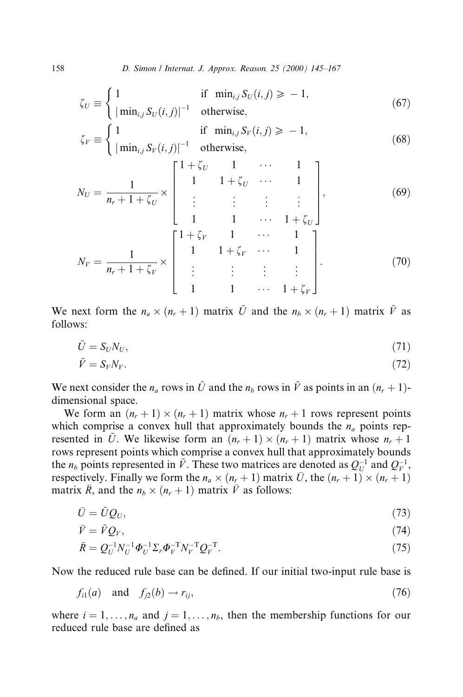158 D. Simon / Internat. J. Approx. Reason. 25 (2000) 145-167

$$
\zeta_U \equiv \begin{cases} 1 & \text{if } \min_{i,j} S_U(i,j) \ge -1, \\ |\min_{i,j} S_U(i,j)|^{-1} & \text{otherwise,} \end{cases}
$$
(67)

$$
\zeta_V \equiv \begin{cases} 1 & \text{if } \min_{i,j} S_V(i,j) \ge -1, \\ |\min_{i,j} S_V(i,j)|^{-1} & \text{otherwise,} \end{cases}
$$
(68)

$$
N_U = \frac{1}{n_r + 1 + \zeta_U} \times \begin{bmatrix} 1 + \zeta_U & 1 & \cdots & 1 \\ 1 & 1 + \zeta_U & \cdots & 1 \\ \vdots & \vdots & \vdots & \vdots \\ 1 & 1 & \cdots & 1 + \zeta_U \end{bmatrix},
$$
(69)  

$$
N_V = \frac{1}{n_r + 1 + \zeta_V} \times \begin{bmatrix} 1 + \zeta_V & 1 & \cdots & 1 \\ 1 & 1 + \zeta_V & \cdots & 1 \\ \vdots & \vdots & \vdots & \vdots \\ 1 & 1 & \cdots & 1 + \zeta_V \end{bmatrix}.
$$
(70)

We next form the  $n_a \times (n_r + 1)$  matrix  $\tilde{U}$  and the  $n_b \times (n_r + 1)$  matrix  $\tilde{V}$  as follows:

$$
\tilde{U} = S_U N_U,\tag{71}
$$

$$
\tilde{V} = S_V N_V. \tag{72}
$$

We next consider the  $n_a$  rows in  $\tilde{U}$  and the  $n_b$  rows in  $\tilde{V}$  as points in an  $(n_r + 1)$ dimensional space.

We form an  $(n_r + 1) \times (n_r + 1)$  matrix whose  $n_r + 1$  rows represent points which comprise a convex hull that approximately bounds the  $n_a$  points represented in  $\tilde{U}$ . We likewise form an  $(n_r + 1) \times (n_r + 1)$  matrix whose  $n_r + 1$ rows represent points which comprise a convex hull that approximately bounds the  $n_b$  points represented in  $\tilde{V}$ . These two matrices are denoted as  $Q_U^{-1}$  and  $Q_V^{-1}$ , respectively. Finally we form the  $n_a \times (n_r + 1)$  matrix  $\overline{U}$ , the  $(n_r + 1) \times (n_r + 1)$ matrix  $\bar{R}$ , and the  $n_b \times (n_r + 1)$  matrix  $\bar{V}$  as follows:

$$
\bar{U} = \tilde{U}Q_U,\tag{73}
$$

$$
\bar{V} = \tilde{V}Q_V,\tag{74}
$$

$$
\bar{R} = Q_U^{-1} N_U^{-1} \Phi_U^{-1} \Sigma_r \Phi_V^{-T} N_V^{-T} Q_V^{-T}.
$$
\n(75)

Now the reduced rule base can be defined. If our initial two-input rule base is

$$
f_{i1}(a) \quad \text{and} \quad f_{j2}(b) \to r_{ij},\tag{76}
$$

where  $i = 1, \ldots, n_a$  and  $j = 1, \ldots, n_b$ , then the membership functions for our reduced rule base are defined as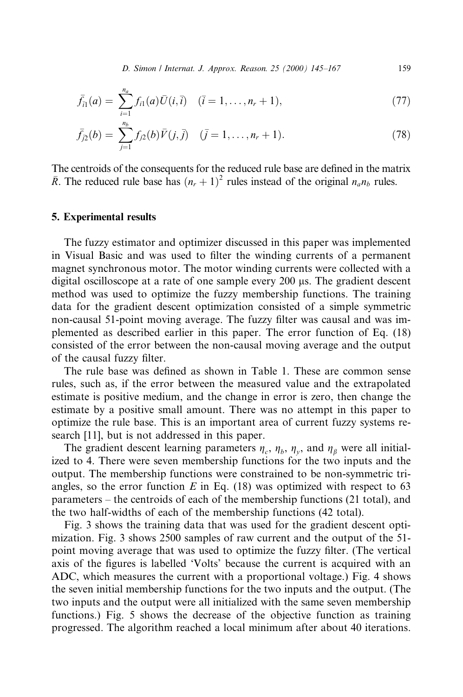D. Simon / Internat. J. Approx. Reason. 25 (2000) 145-167 159

$$
\bar{f}_{i1}(a) = \sum_{i=1}^{n_a} f_{i1}(a) \bar{U}(i,\bar{i}) \quad (\bar{i} = 1,\ldots,n_r+1), \tag{77}
$$

$$
\bar{f}_{j2}(b) = \sum_{j=1}^{n_b} f_{j2}(b)\bar{V}(j,\bar{j}) \quad (\bar{j} = 1,\dots,n_r+1). \tag{78}
$$

The centroids of the consequents for the reduced rule base are defined in the matrix  $\overline{R}$ . The reduced rule base has  $(n_r + 1)^2$  rules instead of the original  $n_a n_b$  rules.

#### 5. Experimental results

The fuzzy estimator and optimizer discussed in this paper was implemented in Visual Basic and was used to filter the winding currents of a permanent magnet synchronous motor. The motor winding currents were collected with a digital oscilloscope at a rate of one sample every 200 µs. The gradient descent method was used to optimize the fuzzy membership functions. The training data for the gradient descent optimization consisted of a simple symmetric non-causal 51-point moving average. The fuzzy filter was causal and was implemented as described earlier in this paper. The error function of Eq. (18) consisted of the error between the non-causal moving average and the output of the causal fuzzy filter.

The rule base was defined as shown in Table 1. These are common sense rules, such as, if the error between the measured value and the extrapolated estimate is positive medium, and the change in error is zero, then change the estimate by a positive small amount. There was no attempt in this paper to optimize the rule base. This is an important area of current fuzzy systems research [11], but is not addressed in this paper.

The gradient descent learning parameters  $\eta_c$ ,  $\eta_b$ ,  $\eta_v$ , and  $\eta_\beta$  were all initialized to 4. There were seven membership functions for the two inputs and the output. The membership functions were constrained to be non-symmetric triangles, so the error function  $E$  in Eq. (18) was optimized with respect to 63 parameters  $-$  the centroids of each of the membership functions (21 total), and the two half-widths of each of the membership functions (42 total).

Fig. 3 shows the training data that was used for the gradient descent optimization. Fig. 3 shows 2500 samples of raw current and the output of the 51 point moving average that was used to optimize the fuzzy filter. (The vertical axis of the figures is labelled 'Volts' because the current is acquired with an ADC, which measures the current with a proportional voltage.) Fig. 4 shows the seven initial membership functions for the two inputs and the output. (The two inputs and the output were all initialized with the same seven membership functions.) Fig. 5 shows the decrease of the objective function as training progressed. The algorithm reached a local minimum after about 40 iterations.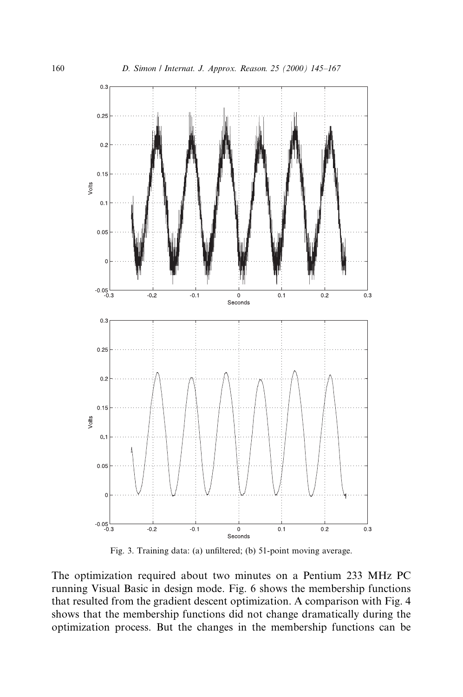

Fig. 3. Training data: (a) unfiltered; (b) 51-point moving average.

The optimization required about two minutes on a Pentium 233 MHz PC running Visual Basic in design mode. Fig. 6 shows the membership functions that resulted from the gradient descent optimization. A comparison with Fig. 4 shows that the membership functions did not change dramatically during the optimization process. But the changes in the membership functions can be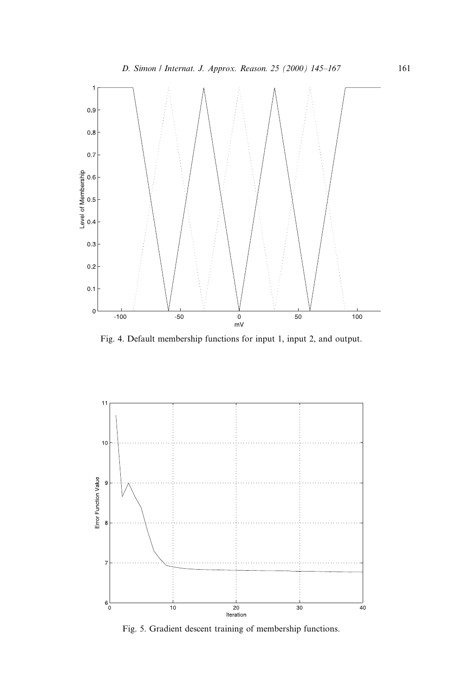

Fig. 4. Default membership functions for input 1, input 2, and output.



Fig. 5. Gradient descent training of membership functions.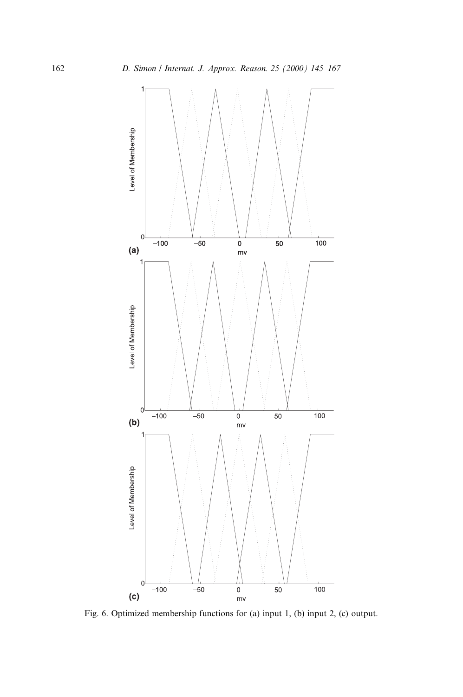

Fig. 6. Optimized membership functions for (a) input 1, (b) input 2, (c) output.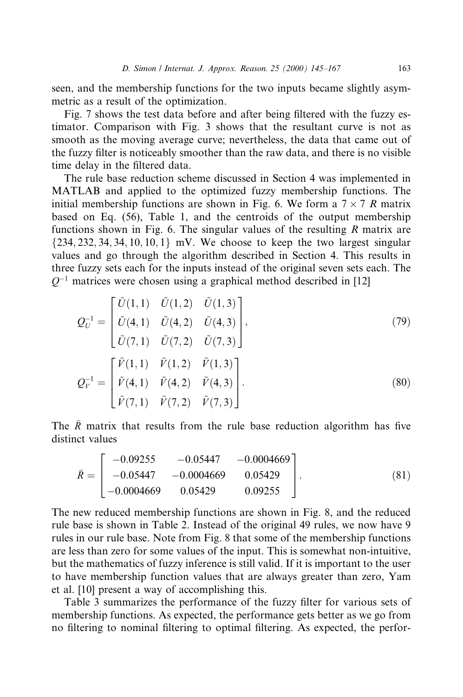seen, and the membership functions for the two inputs became slightly asymmetric as a result of the optimization.

Fig. 7 shows the test data before and after being filtered with the fuzzy estimator. Comparison with Fig. 3 shows that the resultant curve is not as smooth as the moving average curve; nevertheless, the data that came out of the fuzzy filter is noticeably smoother than the raw data, and there is no visible time delay in the filtered data.

The rule base reduction scheme discussed in Section 4 was implemented in MATLAB and applied to the optimized fuzzy membership functions. The initial membership functions are shown in Fig. 6. We form a  $7 \times 7$  R matrix based on Eq. (56), Table 1, and the centroids of the output membership functions shown in Fig. 6. The singular values of the resulting  $R$  matrix are  $\{234, 232, 34, 34, 10, 10, 1\}$  mV. We choose to keep the two largest singular values and go through the algorithm described in Section 4. This results in three fuzzy sets each for the inputs instead of the original seven sets each. The  $Q^{-1}$  matrices were chosen using a graphical method described in [12]

$$
Q_U^{-1} = \begin{bmatrix} \tilde{U}(1,1) & \tilde{U}(1,2) & \tilde{U}(1,3) \\ \tilde{U}(4,1) & \tilde{U}(4,2) & \tilde{U}(4,3) \\ \tilde{U}(7,1) & \tilde{U}(7,2) & \tilde{U}(7,3) \end{bmatrix},
$$
\n
$$
Q_V^{-1} = \begin{bmatrix} \tilde{V}(1,1) & \tilde{V}(1,2) & \tilde{V}(1,3) \\ \tilde{V}(4,1) & \tilde{V}(4,2) & \tilde{V}(4,3) \\ \tilde{V}(7,1) & \tilde{V}(7,2) & \tilde{V}(7,3) \end{bmatrix}.
$$
\n(80)

The  $\overline{R}$  matrix that results from the rule base reduction algorithm has five distinct values

$$
\bar{R} = \begin{bmatrix} -0.09255 & -0.05447 & -0.0004669 \\ -0.05447 & -0.0004669 & 0.05429 \\ -0.0004669 & 0.05429 & 0.09255 \end{bmatrix}.
$$
 (81)

The new reduced membership functions are shown in Fig. 8, and the reduced rule base is shown in Table 2. Instead of the original 49 rules, we now have 9 rules in our rule base. Note from Fig. 8 that some of the membership functions are less than zero for some values of the input. This is somewhat non-intuitive, but the mathematics of fuzzy inference is still valid. If it is important to the user to have membership function values that are always greater than zero, Yam et al. [10] present a way of accomplishing this.

Table 3 summarizes the performance of the fuzzy filter for various sets of membership functions. As expected, the performance gets better as we go from no filtering to nominal filtering to optimal filtering. As expected, the perfor-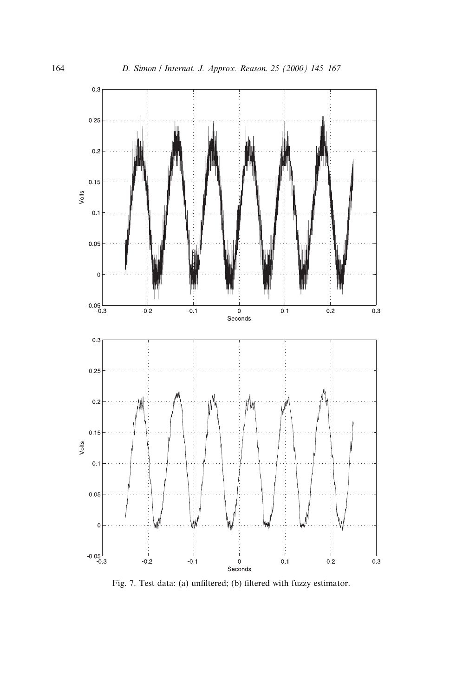

Fig. 7. Test data: (a) unfiltered; (b) filtered with fuzzy estimator.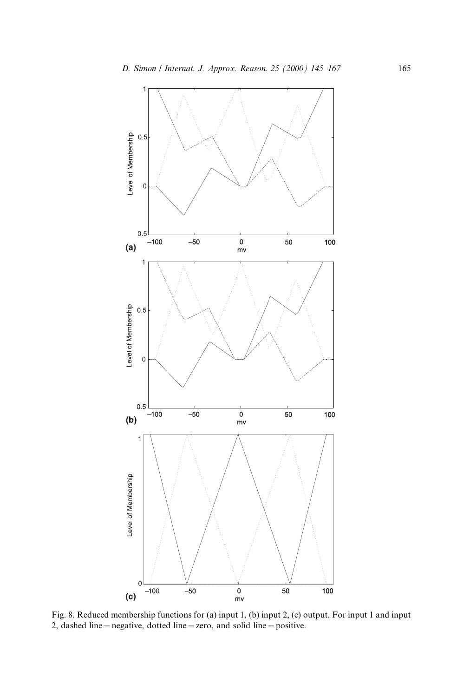

Fig. 8. Reduced membership functions for (a) input 1, (b) input 2, (c) output. For input 1 and input 2, dashed line  $=$  negative, dotted line  $=$  zero, and solid line  $=$  positive.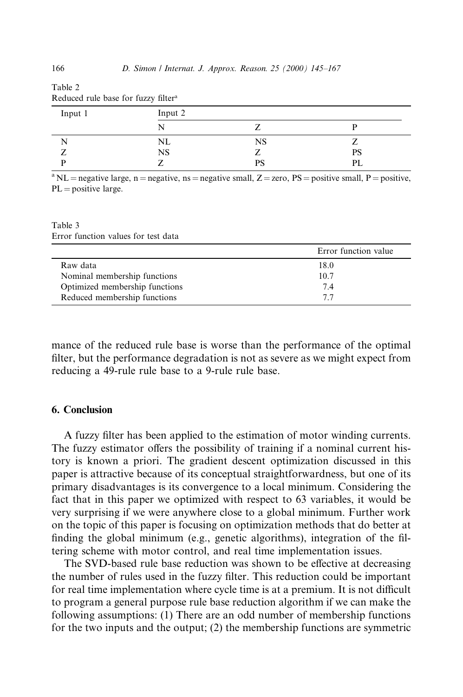| Input 1 | Input 2   |    |    |  |  |
|---------|-----------|----|----|--|--|
|         |           |    |    |  |  |
|         | NL        | NS |    |  |  |
|         | <b>NS</b> |    | PS |  |  |
| n       |           | PS | PL |  |  |

Reduced rule base for fuzzy filter<sup>a</sup>

<sup>a</sup> NL = negative large, n = negative, ns = negative small,  $Z =$  zero, PS = positive small, P = positive,  $PL = positive large.$ 

Table 3 Error function values for test data

|                                | Error function value |
|--------------------------------|----------------------|
| Raw data                       | 18.0                 |
| Nominal membership functions   | 10.7                 |
| Optimized membership functions | 74                   |
| Reduced membership functions   | 77                   |

mance of the reduced rule base is worse than the performance of the optimal filter, but the performance degradation is not as severe as we might expect from reducing a 49-rule rule base to a 9-rule rule base.

#### 6. Conclusion

A fuzzy filter has been applied to the estimation of motor winding currents. The fuzzy estimator offers the possibility of training if a nominal current history is known a priori. The gradient descent optimization discussed in this paper is attractive because of its conceptual straightforwardness, but one of its primary disadvantages is its convergence to a local minimum. Considering the fact that in this paper we optimized with respect to 63 variables, it would be very surprising if we were anywhere close to a global minimum. Further work on the topic of this paper is focusing on optimization methods that do better at finding the global minimum (e.g., genetic algorithms), integration of the filtering scheme with motor control, and real time implementation issues.

The SVD-based rule base reduction was shown to be effective at decreasing the number of rules used in the fuzzy filter. This reduction could be important for real time implementation where cycle time is at a premium. It is not difficult to program a general purpose rule base reduction algorithm if we can make the following assumptions: (1) There are an odd number of membership functions for the two inputs and the output; (2) the membership functions are symmetric

Table 2